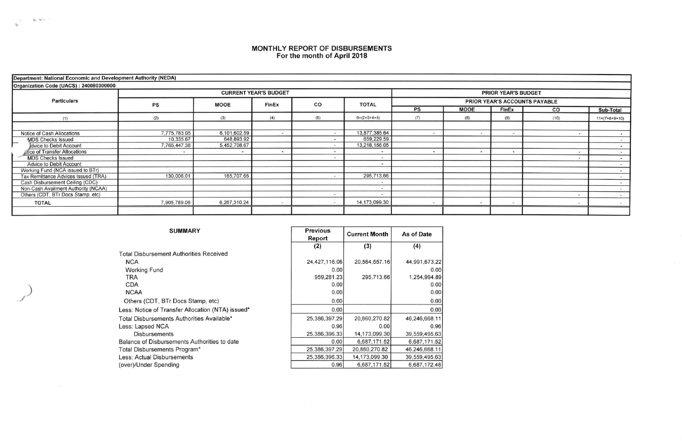## MONTHLY REPORT OF DISBURSEMENTS<br>For the month of April 2018

| Department: National Economic and Development Authority (NEDA) |              |              |                              |     |                            |                                      |                |              |                |                 |  |  |  |
|----------------------------------------------------------------|--------------|--------------|------------------------------|-----|----------------------------|--------------------------------------|----------------|--------------|----------------|-----------------|--|--|--|
| Organization Code (UACS): 240080300000                         |              |              |                              |     |                            |                                      |                |              |                |                 |  |  |  |
| <b>Particulars</b>                                             |              |              | <b>CURRENT YEAR'S BUDGET</b> |     | <b>PRIOR YEAR'S BUDGET</b> |                                      |                |              |                |                 |  |  |  |
|                                                                | PS           | <b>MOOE</b>  | FinEx                        | CO  | <b>TOTAL</b>               | <b>PRIOR YEAR'S ACCOUNTS PAYABLE</b> |                |              |                |                 |  |  |  |
|                                                                |              |              |                              |     |                            | PS                                   | <b>MOOE</b>    | <b>FInEx</b> | co             | Sub-Total       |  |  |  |
| (1)                                                            | (2)          | (3)          | (4)                          | (5) | $6=(2+3+4+5)$              | (7)                                  | (8)            | (9)          | (10)           | $11=(7+8+9+10)$ |  |  |  |
|                                                                |              |              |                              |     |                            |                                      |                |              |                |                 |  |  |  |
| Notice of Cash Allocations                                     | 7,775,783.05 | 6,101,602.59 | <b>Card</b>                  |     | 13,877,385.64              |                                      | $\frac{1}{2}$  | $\sim$       |                |                 |  |  |  |
| <b>MDS Checks Issued</b><br>$\overline{\phantom{a}}$           | 10.335.67    | 648,893.92   |                              |     | 659,229.59                 |                                      |                |              |                |                 |  |  |  |
| Idvice to Debit Account                                        | 7,765,447.38 | 5,452,708.67 |                              |     | 13,218,156.05              |                                      |                |              |                |                 |  |  |  |
| otice of Transfer Allocations                                  |              |              |                              |     |                            |                                      | $\overline{ }$ | $\sim$       |                |                 |  |  |  |
| <b>MDS Checks Issued</b>                                       |              |              |                              |     | $\overline{\phantom{a}}$   |                                      |                |              |                |                 |  |  |  |
| Advice to Debit Account                                        |              |              |                              |     | $\overline{\phantom{a}}$   |                                      |                |              |                | $\sim$          |  |  |  |
| Working Fund (NCA issued to BTr)                               |              |              |                              |     |                            |                                      |                |              |                |                 |  |  |  |
| Tax Remittance Advices Issued (TRA)                            | 130,006.01   | 165,707.65   |                              |     | 295,713.66                 |                                      |                |              |                |                 |  |  |  |
| Cash Disbursement Ceiling (CDC)                                |              |              |                              |     | ۰                          |                                      |                |              |                |                 |  |  |  |
| Non-Cash Availment Authority (NCAA)                            |              |              |                              |     | <b>For</b>                 |                                      |                |              |                |                 |  |  |  |
| Others (CDT, BTr Docs Stamp, etc)                              |              |              |                              |     |                            |                                      |                |              | $\blacksquare$ | $\sim$          |  |  |  |
| <b>TOTAL</b>                                                   | 7,905,789.06 | 6,267,310.24 | $\sim$                       |     | 14,173,099.30              |                                      | $\sim$         | $\sim$       |                |                 |  |  |  |
|                                                                |              |              |                              |     |                            |                                      |                |              |                |                 |  |  |  |

| <b>SUMMARY</b>                                    | <b>Previous</b><br>Report | <b>Current Month</b> | As of Date    |  |
|---------------------------------------------------|---------------------------|----------------------|---------------|--|
|                                                   | (2)                       | (3)                  | (4)           |  |
| <b>Total Disbursement Authorities Received</b>    |                           |                      |               |  |
| <b>NCA</b>                                        | 24,427,116.06             | 20,564,557.16        | 44,991,673.2  |  |
| <b>Working Fund</b>                               | 0.00                      |                      | 0.0(          |  |
| TRA                                               | 959,281.23                | 295,713.66           | 1,254,994.8   |  |
| CDA                                               | 0.00                      |                      | 0.0(          |  |
| <b>NCAA</b>                                       | 0.00                      |                      | 0.0(          |  |
| Others (CDT, BTr Docs Stamp, etc)                 | 0.00                      |                      | 0.0(          |  |
| Less: Notice of Transfer Allocation (NTA) issued* | 0.00                      |                      | 0.00          |  |
| Total Disbursements Authorities Available*        | 25,386,397.29             | 20,860,270.82        | 46,246,668.1  |  |
| Less: Lapsed NCA                                  | 0.96                      | 0.00                 | 0.96          |  |
| <b>Disbursements</b>                              | 25,386,396.33             | 14,173,099.30        | 39,559,495.6  |  |
| Balance of Disbursements Authorities to date      | 0.00                      | 6,687,171.52         | 6,687,171.52  |  |
| Total Disbursements Program*                      | 25,386,397.29             | 20,860,270.82        | 46,246,668.1  |  |
| Less: Actual Disbursements                        | 25,386,396.33             | 14,173,099.30        | 39,559,495.63 |  |
| (over)/Under Spending                             | 0.96                      | 6,687,171.52         | 6,687,172.48  |  |

 $\sim$  10